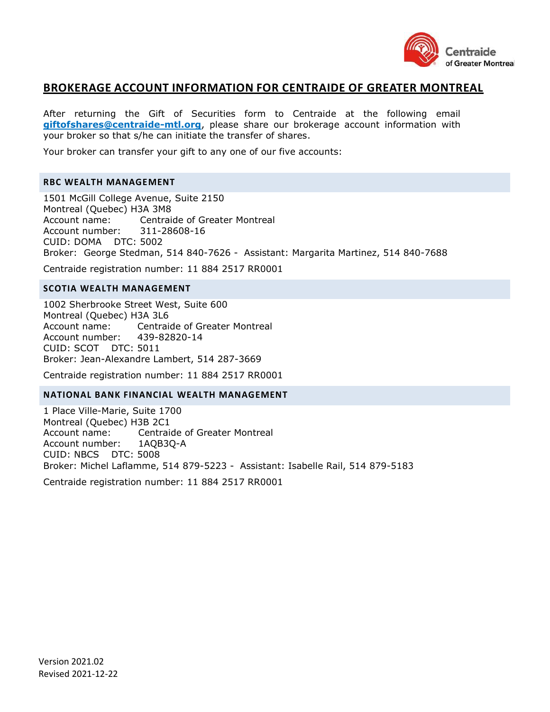

## **BROKERAGE ACCOUNT INFORMATION FOR CENTRAIDE OF GREATER MONTREAL**

After returning the Gift of Securities form to Centraide at the following email **giftofshares@centraide-mtl.org**, please share our brokerage account information with your broker so that s/he can initiate the transfer of shares.

Your broker can transfer your gift to any one of our five accounts:

### **RBC WEALTH MANAGEMENT**

1501 McGill College Avenue, Suite 2150 Montreal (Quebec) H3A 3M8 Account name: Centraide of Greater Montreal Account number: 311-28608-16 CUID: DOMA DTC: 5002 Broker: George Stedman, 514 840-7626 - Assistant: Margarita Martinez, 514 840-7688

Centraide registration number: 11 884 2517 RR0001

### **SCOTIA WEALTH MANAGEMENT**

1002 Sherbrooke Street West, Suite 600 Montreal (Quebec) H3A 3L6 Account name: Centraide of Greater Montreal Account number: 439-82820-14 CUID: SCOT DTC: 5011 Broker: Jean-Alexandre Lambert, 514 287-3669

Centraide registration number: 11 884 2517 RR0001

#### **NATIONAL BANK FINANCIAL WEALTH MANAGEMENT**

1 Place Ville-Marie, Suite 1700 Montreal (Quebec) H3B 2C1 Account name: Centraide of Greater Montreal Account number: 1AQB3Q-A CUID: NBCS DTC: 5008 Broker: Michel Laflamme, 514 879-5223 - Assistant: Isabelle Rail, 514 879-5183

Centraide registration number: 11 884 2517 RR0001